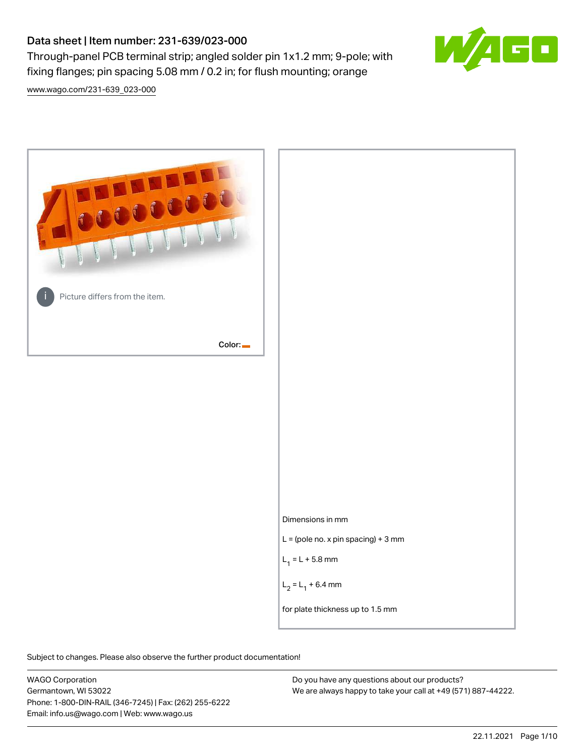## Data sheet | Item number: 231-639/023-000

Through-panel PCB terminal strip; angled solder pin 1x1.2 mm; 9-pole; with fixing flanges; pin spacing 5.08 mm / 0.2 in; for flush mounting; orange



[www.wago.com/231-639\\_023-000](http://www.wago.com/231-639_023-000)



Subject to changes. Please also observe the further product documentation!

WAGO Corporation Germantown, WI 53022 Phone: 1-800-DIN-RAIL (346-7245) | Fax: (262) 255-6222 Email: info.us@wago.com | Web: www.wago.us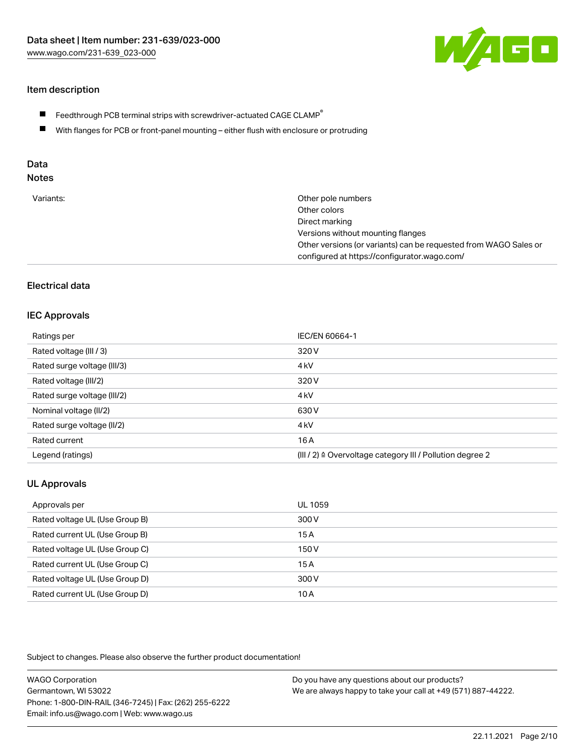

#### Item description

- $\blacksquare$  Feedthrough PCB terminal strips with screwdriver-actuated CAGE CLAMP<sup>®</sup>
- With flanges for PCB or front-panel mounting either flush with enclosure or protruding

# Data

## Notes

| Variants: | Other pole numbers                                               |
|-----------|------------------------------------------------------------------|
|           | Other colors                                                     |
|           | Direct marking                                                   |
|           | Versions without mounting flanges                                |
|           | Other versions (or variants) can be requested from WAGO Sales or |
|           | configured at https://configurator.wago.com/                     |
|           |                                                                  |

#### Electrical data

#### IEC Approvals

| Ratings per                 | IEC/EN 60664-1                                                       |
|-----------------------------|----------------------------------------------------------------------|
| Rated voltage (III / 3)     | 320 V                                                                |
| Rated surge voltage (III/3) | 4 <sub>k</sub> V                                                     |
| Rated voltage (III/2)       | 320 V                                                                |
| Rated surge voltage (III/2) | 4 <sub>k</sub> V                                                     |
| Nominal voltage (II/2)      | 630 V                                                                |
| Rated surge voltage (II/2)  | 4 <sub>k</sub> V                                                     |
| Rated current               | 16 A                                                                 |
| Legend (ratings)            | (III / 2) $\triangleq$ Overvoltage category III / Pollution degree 2 |

#### UL Approvals

| Approvals per                  | UL 1059 |
|--------------------------------|---------|
| Rated voltage UL (Use Group B) | 300 V   |
| Rated current UL (Use Group B) | 15A     |
| Rated voltage UL (Use Group C) | 150 V   |
| Rated current UL (Use Group C) | 15A     |
| Rated voltage UL (Use Group D) | 300 V   |
| Rated current UL (Use Group D) | 10 A    |

Subject to changes. Please also observe the further product documentation!

| <b>WAGO Corporation</b>                                | Do you have any questions about our products?                 |
|--------------------------------------------------------|---------------------------------------------------------------|
| Germantown, WI 53022                                   | We are always happy to take your call at +49 (571) 887-44222. |
| Phone: 1-800-DIN-RAIL (346-7245)   Fax: (262) 255-6222 |                                                               |
| Email: info.us@wago.com   Web: www.wago.us             |                                                               |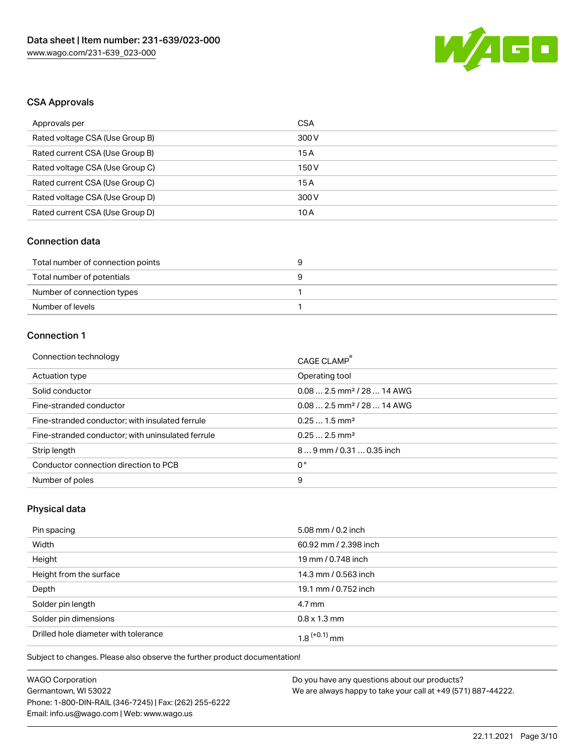

#### CSA Approvals

| Approvals per                   | CSA   |
|---------------------------------|-------|
| Rated voltage CSA (Use Group B) | 300 V |
| Rated current CSA (Use Group B) | 15 A  |
| Rated voltage CSA (Use Group C) | 150 V |
| Rated current CSA (Use Group C) | 15A   |
| Rated voltage CSA (Use Group D) | 300 V |
| Rated current CSA (Use Group D) | 10 A  |

#### Connection data

| Total number of connection points |  |
|-----------------------------------|--|
| Total number of potentials        |  |
| Number of connection types        |  |
| Number of levels                  |  |

#### Connection 1

| Connection technology                             | CAGE CLAMP®                             |
|---------------------------------------------------|-----------------------------------------|
| Actuation type                                    | Operating tool                          |
| Solid conductor                                   | $0.082.5$ mm <sup>2</sup> / 28  14 AWG  |
| Fine-stranded conductor                           | $0.08$ 2.5 mm <sup>2</sup> / 28  14 AWG |
| Fine-stranded conductor; with insulated ferrule   | $0.251.5$ mm <sup>2</sup>               |
| Fine-stranded conductor; with uninsulated ferrule | $0.252.5$ mm <sup>2</sup>               |
| Strip length                                      | 89 mm / 0.31  0.35 inch                 |
| Conductor connection direction to PCB             | 0°                                      |
| Number of poles                                   | 9                                       |

## Physical data

| Pin spacing                          | 5.08 mm / 0.2 inch    |
|--------------------------------------|-----------------------|
| Width                                | 60.92 mm / 2.398 inch |
| Height                               | 19 mm / 0.748 inch    |
| Height from the surface              | 14.3 mm / 0.563 inch  |
| Depth                                | 19.1 mm / 0.752 inch  |
| Solder pin length                    | $4.7 \,\mathrm{mm}$   |
| Solder pin dimensions                | $0.8 \times 1.3$ mm   |
| Drilled hole diameter with tolerance | $1.8$ $(+0.1)$ mm     |

Subject to changes. Please also observe the further product documentation!

| <b>WAGO Corporation</b>                                |  |
|--------------------------------------------------------|--|
| Germantown, WI 53022                                   |  |
| Phone: 1-800-DIN-RAIL (346-7245)   Fax: (262) 255-6222 |  |
| Email: info.us@wago.com   Web: www.wago.us             |  |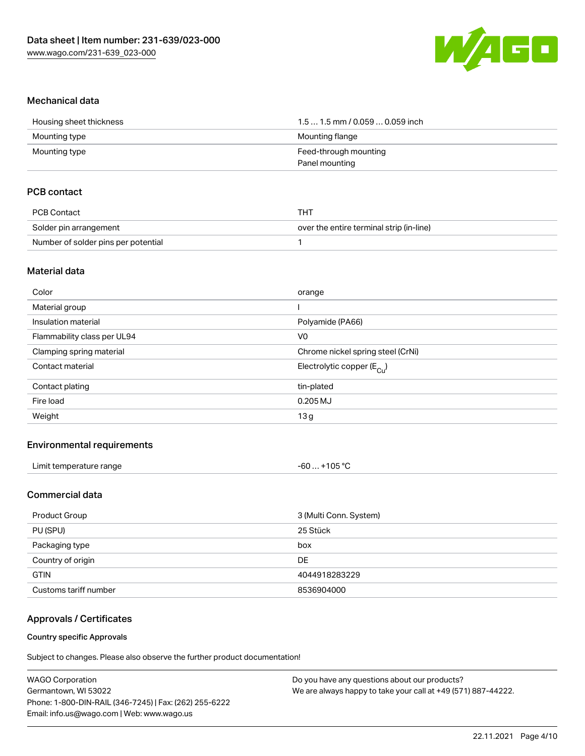

#### Mechanical data

| Housing sheet thickness | 1.5  1.5 mm / 0.059  0.059 inch |
|-------------------------|---------------------------------|
| Mounting type           | Mounting flange                 |
| Mounting type           | Feed-through mounting           |
|                         | Panel mounting                  |

#### PCB contact

| PCB Contact                         | тнт                                      |
|-------------------------------------|------------------------------------------|
| Solder pin arrangement              | over the entire terminal strip (in-line) |
| Number of solder pins per potential |                                          |

#### Material data

| Color                       | orange                                |
|-----------------------------|---------------------------------------|
| Material group              |                                       |
| Insulation material         | Polyamide (PA66)                      |
| Flammability class per UL94 | V <sub>0</sub>                        |
| Clamping spring material    | Chrome nickel spring steel (CrNi)     |
| Contact material            | Electrolytic copper $(E_{\text{Cu}})$ |
| Contact plating             | tin-plated                            |
| Fire load                   | $0.205$ MJ                            |
| Weight                      | 13g                                   |
|                             |                                       |

#### Environmental requirements

| Limit temperature range | -60  +105 °C |
|-------------------------|--------------|
|-------------------------|--------------|

#### Commercial data

| Product Group         | 3 (Multi Conn. System) |
|-----------------------|------------------------|
| PU (SPU)              | 25 Stück               |
| Packaging type        | box                    |
| Country of origin     | DE                     |
| <b>GTIN</b>           | 4044918283229          |
| Customs tariff number | 8536904000             |

#### Approvals / Certificates

#### Country specific Approvals

Subject to changes. Please also observe the further product documentation!

| Do you have any questions about our products?                 |
|---------------------------------------------------------------|
| We are always happy to take your call at +49 (571) 887-44222. |
|                                                               |
|                                                               |
|                                                               |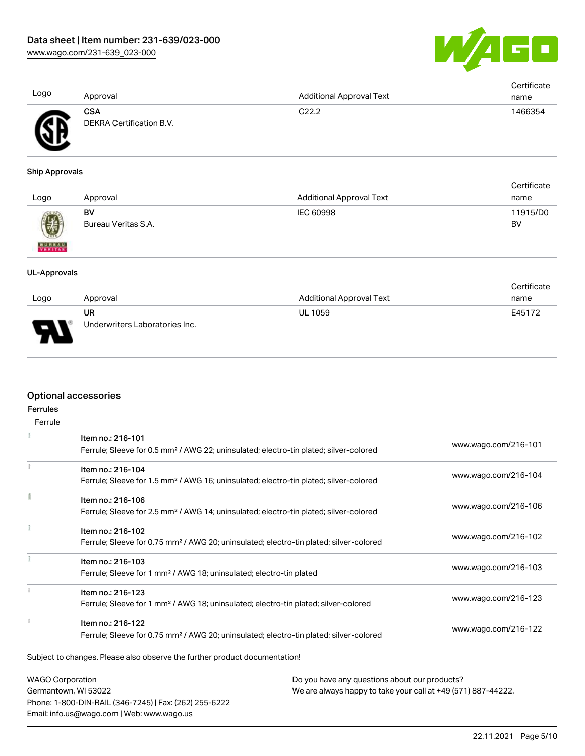

| Logo                  | Approval                                      | <b>Additional Approval Text</b> | Certificate<br>name   |
|-----------------------|-----------------------------------------------|---------------------------------|-----------------------|
|                       | <b>CSA</b><br><b>DEKRA Certification B.V.</b> | C22.2                           | 1466354               |
| <b>Ship Approvals</b> |                                               |                                 |                       |
| Logo                  | Approval                                      | <b>Additional Approval Text</b> | Certificate<br>name   |
| <b>BUREAU</b>         | BV<br>Bureau Veritas S.A.                     | <b>IEC 60998</b>                | 11915/D0<br><b>BV</b> |
| <b>UL-Approvals</b>   |                                               |                                 |                       |
| 1000                  | Approval                                      | Additional Approval Toxt        | Certificate<br>namo   |

| Logo   | Approval                             | Additional Approval Text | name   |
|--------|--------------------------------------|--------------------------|--------|
| ◟<br>J | UR<br>Underwriters Laboratories Inc. | <b>UL 1059</b>           | E45172 |

#### Optional accessories

Phone: 1-800-DIN-RAIL (346-7245) | Fax: (262) 255-6222

Email: info.us@wago.com | Web: www.wago.us

| <b>Ferrules</b>         |                                                                                                    |                                                               |                      |
|-------------------------|----------------------------------------------------------------------------------------------------|---------------------------------------------------------------|----------------------|
| Ferrule                 |                                                                                                    |                                                               |                      |
|                         | Item no.: 216-101                                                                                  |                                                               |                      |
|                         | Ferrule; Sleeve for 0.5 mm <sup>2</sup> / AWG 22; uninsulated; electro-tin plated; silver-colored  |                                                               | www.wago.com/216-101 |
|                         | Item no.: 216-104                                                                                  |                                                               |                      |
|                         | Ferrule; Sleeve for 1.5 mm <sup>2</sup> / AWG 16; uninsulated; electro-tin plated; silver-colored  |                                                               | www.wago.com/216-104 |
|                         | Item no.: 216-106                                                                                  |                                                               |                      |
|                         | Ferrule; Sleeve for 2.5 mm <sup>2</sup> / AWG 14; uninsulated; electro-tin plated; silver-colored  |                                                               | www.wago.com/216-106 |
|                         | Item no.: 216-102                                                                                  |                                                               |                      |
|                         | Ferrule; Sleeve for 0.75 mm <sup>2</sup> / AWG 20; uninsulated; electro-tin plated; silver-colored |                                                               | www.wago.com/216-102 |
|                         | Item no.: 216-103                                                                                  |                                                               |                      |
|                         | Ferrule; Sleeve for 1 mm <sup>2</sup> / AWG 18; uninsulated; electro-tin plated                    |                                                               | www.wago.com/216-103 |
|                         | Item no.: 216-123                                                                                  |                                                               |                      |
|                         | Ferrule; Sleeve for 1 mm <sup>2</sup> / AWG 18; uninsulated; electro-tin plated; silver-colored    |                                                               | www.wago.com/216-123 |
|                         | Item no.: 216-122                                                                                  |                                                               |                      |
|                         | Ferrule; Sleeve for 0.75 mm <sup>2</sup> / AWG 20; uninsulated; electro-tin plated; silver-colored |                                                               | www.wago.com/216-122 |
|                         | Subject to changes. Please also observe the further product documentation!                         |                                                               |                      |
| <b>WAGO Corporation</b> |                                                                                                    | Do you have any questions about our products?                 |                      |
| Germantown, WI 53022    |                                                                                                    | We are always happy to take your call at +49 (571) 887-44222. |                      |

22.11.2021 Page 5/10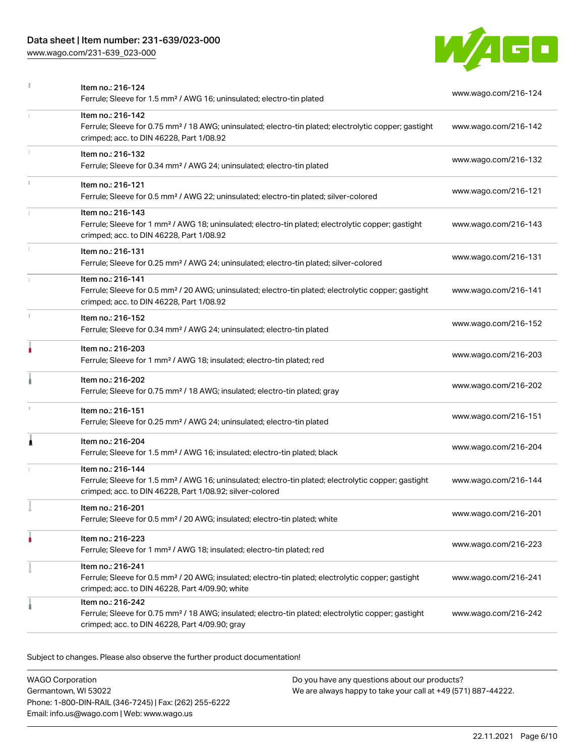#### Data sheet | Item number: 231-639/023-000

[www.wago.com/231-639\\_023-000](http://www.wago.com/231-639_023-000)



|    | Item no.: 216-124<br>Ferrule; Sleeve for 1.5 mm <sup>2</sup> / AWG 16; uninsulated; electro-tin plated                                                                                            | www.wago.com/216-124 |
|----|---------------------------------------------------------------------------------------------------------------------------------------------------------------------------------------------------|----------------------|
|    | Item no.: 216-142<br>Ferrule; Sleeve for 0.75 mm <sup>2</sup> / 18 AWG; uninsulated; electro-tin plated; electrolytic copper; gastight<br>crimped; acc. to DIN 46228, Part 1/08.92                | www.wago.com/216-142 |
|    | Item no.: 216-132<br>Ferrule; Sleeve for 0.34 mm <sup>2</sup> / AWG 24; uninsulated; electro-tin plated                                                                                           | www.wago.com/216-132 |
| î. | Item no.: 216-121<br>Ferrule; Sleeve for 0.5 mm <sup>2</sup> / AWG 22; uninsulated; electro-tin plated; silver-colored                                                                            | www.wago.com/216-121 |
|    | Item no.: 216-143<br>Ferrule; Sleeve for 1 mm <sup>2</sup> / AWG 18; uninsulated; electro-tin plated; electrolytic copper; gastight<br>crimped; acc. to DIN 46228, Part 1/08.92                   | www.wago.com/216-143 |
|    | Item no.: 216-131<br>Ferrule; Sleeve for 0.25 mm <sup>2</sup> / AWG 24; uninsulated; electro-tin plated; silver-colored                                                                           | www.wago.com/216-131 |
|    | Item no.: 216-141<br>Ferrule; Sleeve for 0.5 mm <sup>2</sup> / 20 AWG; uninsulated; electro-tin plated; electrolytic copper; gastight<br>crimped; acc. to DIN 46228, Part 1/08.92                 | www.wago.com/216-141 |
| s. | Item no.: 216-152<br>Ferrule; Sleeve for 0.34 mm <sup>2</sup> / AWG 24; uninsulated; electro-tin plated                                                                                           | www.wago.com/216-152 |
| ۸  | Item no.: 216-203<br>Ferrule; Sleeve for 1 mm <sup>2</sup> / AWG 18; insulated; electro-tin plated; red                                                                                           | www.wago.com/216-203 |
|    | Item no.: 216-202<br>Ferrule; Sleeve for 0.75 mm <sup>2</sup> / 18 AWG; insulated; electro-tin plated; gray                                                                                       | www.wago.com/216-202 |
| x  | Item no.: 216-151<br>Ferrule; Sleeve for 0.25 mm <sup>2</sup> / AWG 24; uninsulated; electro-tin plated                                                                                           | www.wago.com/216-151 |
| Ă  | Item no.: 216-204<br>Ferrule; Sleeve for 1.5 mm <sup>2</sup> / AWG 16; insulated; electro-tin plated; black                                                                                       | www.wago.com/216-204 |
|    | Item no.: 216-144<br>Ferrule; Sleeve for 1.5 mm <sup>2</sup> / AWG 16; uninsulated; electro-tin plated; electrolytic copper; gastight<br>crimped; acc. to DIN 46228, Part 1/08.92; silver-colored | www.wago.com/216-144 |
|    | Item no.: 216-201<br>Ferrule; Sleeve for 0.5 mm <sup>2</sup> / 20 AWG; insulated; electro-tin plated; white                                                                                       | www.wago.com/216-201 |
|    | Item no.: 216-223<br>Ferrule; Sleeve for 1 mm <sup>2</sup> / AWG 18; insulated; electro-tin plated; red                                                                                           | www.wago.com/216-223 |
|    | Item no.: 216-241<br>Ferrule; Sleeve for 0.5 mm <sup>2</sup> / 20 AWG; insulated; electro-tin plated; electrolytic copper; gastight<br>crimped; acc. to DIN 46228, Part 4/09.90; white            | www.wago.com/216-241 |
|    | Item no.: 216-242<br>Ferrule; Sleeve for 0.75 mm <sup>2</sup> / 18 AWG; insulated; electro-tin plated; electrolytic copper; gastight<br>crimped; acc. to DIN 46228, Part 4/09.90; gray            | www.wago.com/216-242 |

Subject to changes. Please also observe the further product documentation!

WAGO Corporation Germantown, WI 53022 Phone: 1-800-DIN-RAIL (346-7245) | Fax: (262) 255-6222 Email: info.us@wago.com | Web: www.wago.us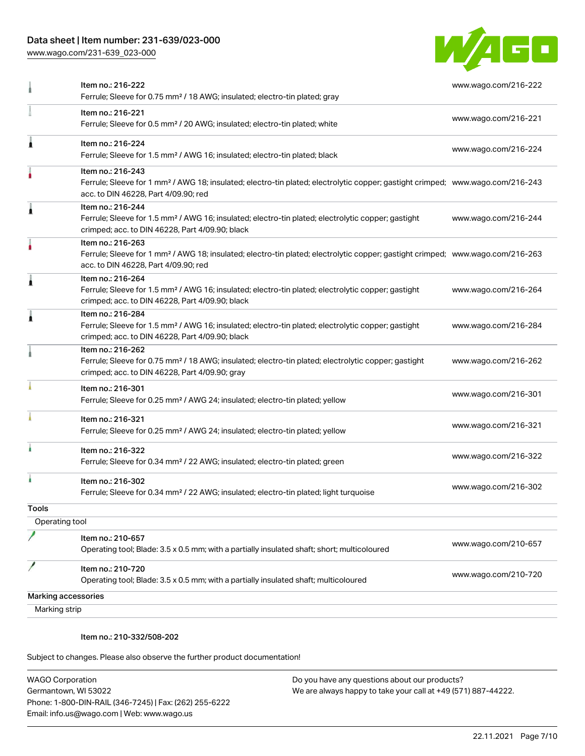### Data sheet | Item number: 231-639/023-000

[www.wago.com/231-639\\_023-000](http://www.wago.com/231-639_023-000)



|                            | Item no.: 216-222<br>Ferrule; Sleeve for 0.75 mm <sup>2</sup> / 18 AWG; insulated; electro-tin plated; gray                                                                                             | www.wago.com/216-222 |
|----------------------------|---------------------------------------------------------------------------------------------------------------------------------------------------------------------------------------------------------|----------------------|
|                            | Item no.: 216-221<br>Ferrule; Sleeve for 0.5 mm <sup>2</sup> / 20 AWG; insulated; electro-tin plated; white                                                                                             | www.wago.com/216-221 |
|                            | Item no.: 216-224<br>Ferrule; Sleeve for 1.5 mm <sup>2</sup> / AWG 16; insulated; electro-tin plated; black                                                                                             | www.wago.com/216-224 |
|                            | Item no.: 216-243<br>Ferrule; Sleeve for 1 mm <sup>2</sup> / AWG 18; insulated; electro-tin plated; electrolytic copper; gastight crimped; www.wago.com/216-243<br>acc. to DIN 46228, Part 4/09.90; red |                      |
|                            | Item no.: 216-244<br>Ferrule; Sleeve for 1.5 mm <sup>2</sup> / AWG 16; insulated; electro-tin plated; electrolytic copper; gastight<br>crimped; acc. to DIN 46228, Part 4/09.90; black                  | www.wago.com/216-244 |
|                            | Item no.: 216-263<br>Ferrule; Sleeve for 1 mm <sup>2</sup> / AWG 18; insulated; electro-tin plated; electrolytic copper; gastight crimped; www.wago.com/216-263<br>acc. to DIN 46228, Part 4/09.90; red |                      |
|                            | Item no.: 216-264<br>Ferrule; Sleeve for 1.5 mm <sup>2</sup> / AWG 16; insulated; electro-tin plated; electrolytic copper; gastight<br>crimped; acc. to DIN 46228, Part 4/09.90; black                  | www.wago.com/216-264 |
|                            | Item no.: 216-284<br>Ferrule; Sleeve for 1.5 mm <sup>2</sup> / AWG 16; insulated; electro-tin plated; electrolytic copper; gastight<br>crimped; acc. to DIN 46228, Part 4/09.90; black                  | www.wago.com/216-284 |
|                            | Item no.: 216-262<br>Ferrule; Sleeve for 0.75 mm <sup>2</sup> / 18 AWG; insulated; electro-tin plated; electrolytic copper; gastight<br>crimped; acc. to DIN 46228, Part 4/09.90; gray                  | www.wago.com/216-262 |
|                            | Item no.: 216-301<br>Ferrule; Sleeve for 0.25 mm <sup>2</sup> / AWG 24; insulated; electro-tin plated; yellow                                                                                           | www.wago.com/216-301 |
|                            | Item no.: 216-321<br>Ferrule; Sleeve for 0.25 mm <sup>2</sup> / AWG 24; insulated; electro-tin plated; yellow                                                                                           | www.wago.com/216-321 |
|                            | Item no.: 216-322<br>Ferrule; Sleeve for 0.34 mm <sup>2</sup> / 22 AWG; insulated; electro-tin plated; green                                                                                            | www.wago.com/216-322 |
|                            | Item no.: 216-302<br>Ferrule; Sleeve for 0.34 mm <sup>2</sup> / 22 AWG; insulated; electro-tin plated; light turquoise                                                                                  | www.wago.com/216-302 |
| <b>Tools</b>               |                                                                                                                                                                                                         |                      |
| Operating tool             |                                                                                                                                                                                                         |                      |
|                            | Item no.: 210-657<br>Operating tool; Blade: 3.5 x 0.5 mm; with a partially insulated shaft; short; multicoloured                                                                                        | www.wago.com/210-657 |
|                            | Item no.: 210-720<br>Operating tool; Blade: 3.5 x 0.5 mm; with a partially insulated shaft; multicoloured                                                                                               | www.wago.com/210-720 |
| <b>Marking accessories</b> |                                                                                                                                                                                                         |                      |
| Marking strip              |                                                                                                                                                                                                         |                      |
|                            |                                                                                                                                                                                                         |                      |

#### Item no.: 210-332/508-202

Subject to changes. Please also observe the further product documentation!

WAGO Corporation Germantown, WI 53022 Phone: 1-800-DIN-RAIL (346-7245) | Fax: (262) 255-6222 Email: info.us@wago.com | Web: www.wago.us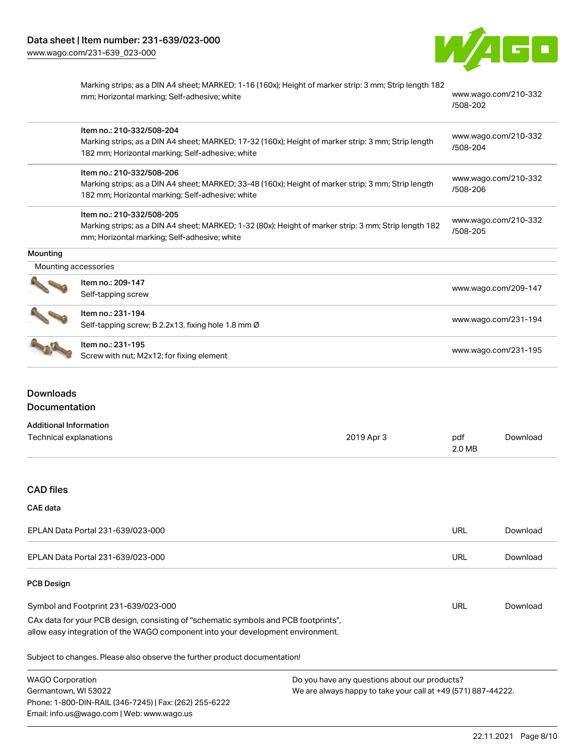

|                      | Marking strips; as a DIN A4 sheet; MARKED; 1-16 (160x); Height of marker strip: 3 mm; Strip length 182<br>mm; Horizontal marking; Self-adhesive; white | www.wago.com/210-332<br>/508-202 |
|----------------------|--------------------------------------------------------------------------------------------------------------------------------------------------------|----------------------------------|
|                      | Item no.: 210-332/508-204                                                                                                                              |                                  |
|                      | Marking strips; as a DIN A4 sheet; MARKED; 17-32 (160x); Height of marker strip: 3 mm; Strip length                                                    | www.wago.com/210-332<br>/508-204 |
|                      | 182 mm; Horizontal marking; Self-adhesive; white                                                                                                       |                                  |
|                      | Item no.: 210-332/508-206                                                                                                                              |                                  |
|                      | Marking strips; as a DIN A4 sheet; MARKED; 33-48 (160x); Height of marker strip: 3 mm; Strip length                                                    | www.wago.com/210-332             |
|                      | 182 mm; Horizontal marking; Self-adhesive; white                                                                                                       | /508-206                         |
|                      | Item no.: 210-332/508-205                                                                                                                              |                                  |
|                      | Marking strips; as a DIN A4 sheet; MARKED; 1-32 (80x); Height of marker strip: 3 mm; Strip length 182                                                  | www.wago.com/210-332<br>/508-205 |
|                      | mm; Horizontal marking; Self-adhesive; white                                                                                                           |                                  |
| Mounting             |                                                                                                                                                        |                                  |
| Mounting accessories |                                                                                                                                                        |                                  |
|                      | Item no.: 209-147                                                                                                                                      |                                  |
|                      | Self-tapping screw                                                                                                                                     | www.wago.com/209-147             |
|                      | Item no.: 231-194                                                                                                                                      |                                  |
|                      | Self-tapping screw; B 2.2x13, fixing hole 1.8 mm Ø                                                                                                     | www.wago.com/231-194             |
|                      | Item no.: 231-195                                                                                                                                      |                                  |
|                      | Screw with nut; M2x12; for fixing element                                                                                                              | www.wago.com/231-195             |

## Downloads Documentation

| <b>Additional Information</b> |            |        |          |
|-------------------------------|------------|--------|----------|
| Technical explanations        | 2019 Apr 3 | pdf    | Download |
|                               |            | 2.0 MB |          |

#### CAD files

#### CAE data

| EPLAN Data Portal 231-639/023-000 | URL | Download |
|-----------------------------------|-----|----------|
| EPLAN Data Portal 231-639/023-000 | URL | Download |

### PCB Design

| Symbol and Footprint 231-639/023-000                                                | URL | Download |
|-------------------------------------------------------------------------------------|-----|----------|
| CAx data for your PCB design, consisting of "schematic symbols and PCB footprints", |     |          |
| allow easy integration of the WAGO component into your development environment.     |     |          |

Subject to changes. Please also observe the further product documentation!

| <b>WAGO Corporation</b>                                | Do you have any questions about our products?                 |
|--------------------------------------------------------|---------------------------------------------------------------|
| Germantown, WI 53022                                   | We are always happy to take your call at +49 (571) 887-44222. |
| Phone: 1-800-DIN-RAIL (346-7245)   Fax: (262) 255-6222 |                                                               |
| Email: info.us@wago.com   Web: www.wago.us             |                                                               |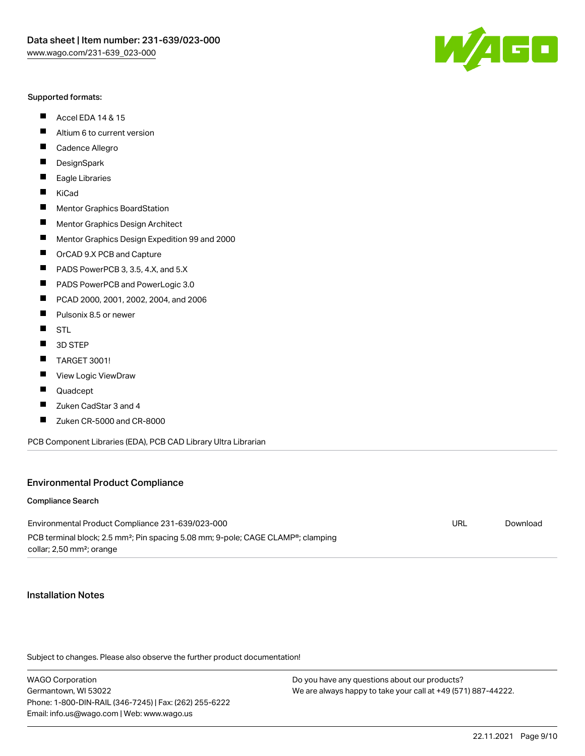#### Supported formats:

- $\blacksquare$ Accel EDA 14 & 15
- $\blacksquare$ Altium 6 to current version
- $\blacksquare$ Cadence Allegro
- $\blacksquare$ **DesignSpark**
- $\blacksquare$ Eagle Libraries
- $\blacksquare$ KiCad
- $\blacksquare$ Mentor Graphics BoardStation
- $\blacksquare$ Mentor Graphics Design Architect
- $\blacksquare$ Mentor Graphics Design Expedition 99 and 2000
- $\blacksquare$ OrCAD 9.X PCB and Capture
- $\blacksquare$ PADS PowerPCB 3, 3.5, 4.X, and 5.X
- $\blacksquare$ PADS PowerPCB and PowerLogic 3.0
- $\blacksquare$ PCAD 2000, 2001, 2002, 2004, and 2006
- $\blacksquare$ Pulsonix 8.5 or newer
- $\blacksquare$ STL
- $\blacksquare$ 3D STEP
- П TARGET 3001!
- $\blacksquare$ View Logic ViewDraw
- П Quadcept
- $\blacksquare$ Zuken CadStar 3 and 4
- Zuken CR-5000 and CR-8000 П

PCB Component Libraries (EDA), PCB CAD Library Ultra Librarian

#### Environmental Product Compliance

#### Compliance Search

Environmental Product Compliance 231-639/023-000 PCB terminal block; 2.5 mm²; Pin spacing 5.08 mm; 9-pole; CAGE CLAMP®; clamping collar; 2,50 mm²; orange

URL [Download](https://www.wago.com/global/d/ComplianceLinkMediaContainer_231-639_023-000)

#### Installation Notes

Subject to changes. Please also observe the further product documentation!

WAGO Corporation Germantown, WI 53022 Phone: 1-800-DIN-RAIL (346-7245) | Fax: (262) 255-6222 Email: info.us@wago.com | Web: www.wago.us